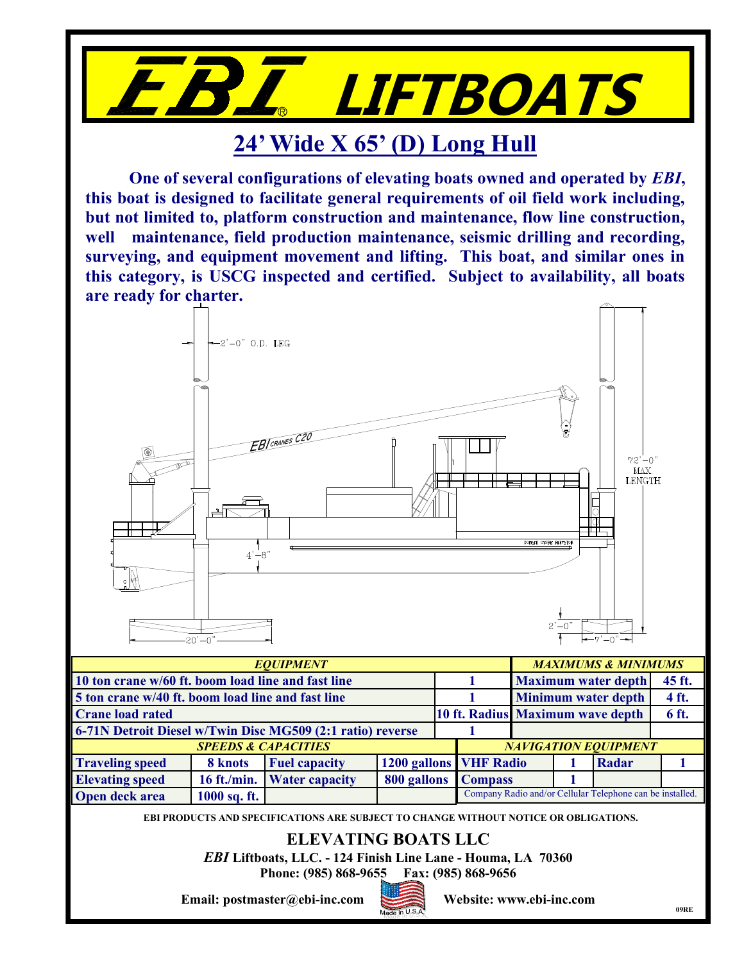

## **24' Wide X 65' (D) Long Hull**

**One of several configurations of elevating boats owned and operated by** *EBI***, this boat is designed to facilitate general requirements of oil field work including, but not limited to, platform construction and maintenance, flow line construction, well maintenance, field production maintenance, seismic drilling and recording, surveying, and equipment movement and lifting. This boat, and similar ones in this category, is USCG inspected and certified. Subject to availability, all boats are ready for charter.**



**09RE**